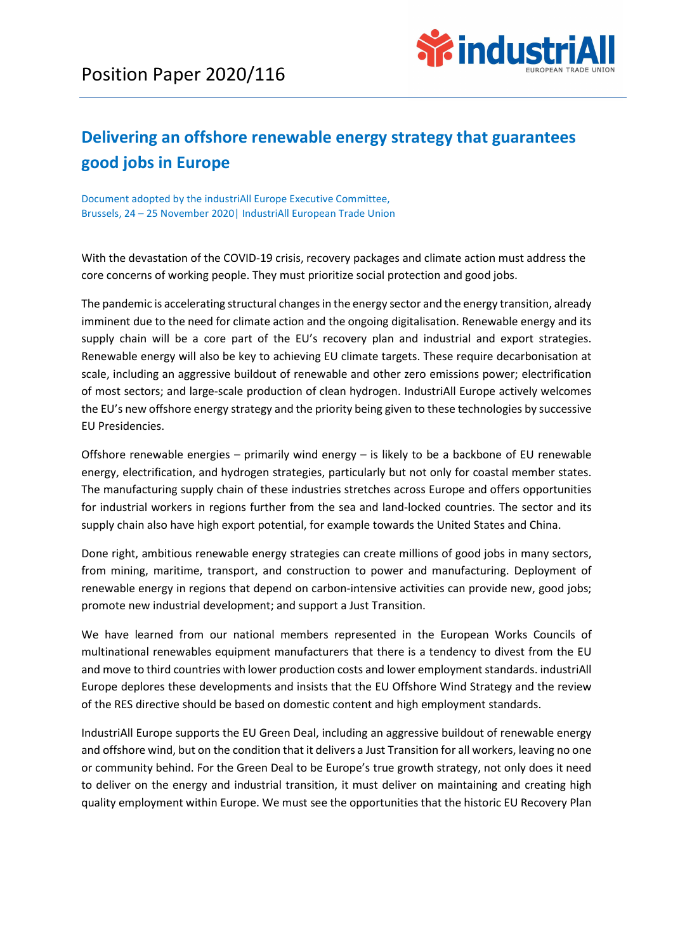

## Delivering an offshore renewable energy strategy that guarantees good jobs in Europe

Document adopted by the industriAll Europe Executive Committee, Brussels, 24 – 25 November 2020| IndustriAll European Trade Union

With the devastation of the COVID-19 crisis, recovery packages and climate action must address the core concerns of working people. They must prioritize social protection and good jobs.

The pandemic is accelerating structural changes in the energy sector and the energy transition, already imminent due to the need for climate action and the ongoing digitalisation. Renewable energy and its supply chain will be a core part of the EU's recovery plan and industrial and export strategies. Renewable energy will also be key to achieving EU climate targets. These require decarbonisation at scale, including an aggressive buildout of renewable and other zero emissions power; electrification of most sectors; and large-scale production of clean hydrogen. IndustriAll Europe actively welcomes the EU's new offshore energy strategy and the priority being given to these technologies by successive EU Presidencies.

Offshore renewable energies – primarily wind energy – is likely to be a backbone of EU renewable energy, electrification, and hydrogen strategies, particularly but not only for coastal member states. The manufacturing supply chain of these industries stretches across Europe and offers opportunities for industrial workers in regions further from the sea and land-locked countries. The sector and its supply chain also have high export potential, for example towards the United States and China.

Done right, ambitious renewable energy strategies can create millions of good jobs in many sectors, from mining, maritime, transport, and construction to power and manufacturing. Deployment of renewable energy in regions that depend on carbon-intensive activities can provide new, good jobs; promote new industrial development; and support a Just Transition.

We have learned from our national members represented in the European Works Councils of multinational renewables equipment manufacturers that there is a tendency to divest from the EU and move to third countries with lower production costs and lower employment standards. industriAll Europe deplores these developments and insists that the EU Offshore Wind Strategy and the review of the RES directive should be based on domestic content and high employment standards.

IndustriAll Europe supports the EU Green Deal, including an aggressive buildout of renewable energy and offshore wind, but on the condition that it delivers a Just Transition for all workers, leaving no one or community behind. For the Green Deal to be Europe's true growth strategy, not only does it need to deliver on the energy and industrial transition, it must deliver on maintaining and creating high quality employment within Europe. We must see the opportunities that the historic EU Recovery Plan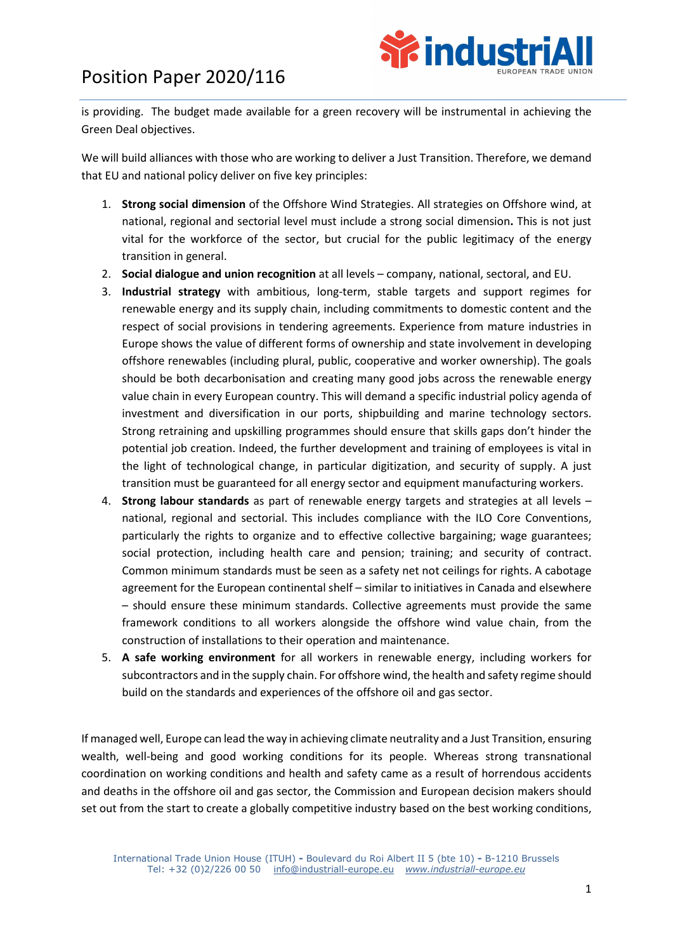## Position Paper 2020/116



is providing. The budget made available for a green recovery will be instrumental in achieving the Green Deal objectives.

We will build alliances with those who are working to deliver a Just Transition. Therefore, we demand that EU and national policy deliver on five key principles:

- 1. Strong social dimension of the Offshore Wind Strategies. All strategies on Offshore wind, at national, regional and sectorial level must include a strong social dimension. This is not just vital for the workforce of the sector, but crucial for the public legitimacy of the energy transition in general.
- 2. Social dialogue and union recognition at all levels company, national, sectoral, and EU.
- 3. Industrial strategy with ambitious, long-term, stable targets and support regimes for renewable energy and its supply chain, including commitments to domestic content and the respect of social provisions in tendering agreements. Experience from mature industries in Europe shows the value of different forms of ownership and state involvement in developing offshore renewables (including plural, public, cooperative and worker ownership). The goals should be both decarbonisation and creating many good jobs across the renewable energy value chain in every European country. This will demand a specific industrial policy agenda of investment and diversification in our ports, shipbuilding and marine technology sectors. Strong retraining and upskilling programmes should ensure that skills gaps don't hinder the potential job creation. Indeed, the further development and training of employees is vital in the light of technological change, in particular digitization, and security of supply. A just transition must be guaranteed for all energy sector and equipment manufacturing workers.
- 4. Strong labour standards as part of renewable energy targets and strategies at all levels national, regional and sectorial. This includes compliance with the ILO Core Conventions, particularly the rights to organize and to effective collective bargaining; wage guarantees; social protection, including health care and pension; training; and security of contract. Common minimum standards must be seen as a safety net not ceilings for rights. A cabotage agreement for the European continental shelf – similar to initiatives in Canada and elsewhere – should ensure these minimum standards. Collective agreements must provide the same framework conditions to all workers alongside the offshore wind value chain, from the construction of installations to their operation and maintenance.
- 5. A safe working environment for all workers in renewable energy, including workers for subcontractors and in the supply chain. For offshore wind, the health and safety regime should build on the standards and experiences of the offshore oil and gas sector.

If managed well, Europe can lead the way in achieving climate neutrality and a Just Transition, ensuring wealth, well-being and good working conditions for its people. Whereas strong transnational coordination on working conditions and health and safety came as a result of horrendous accidents and deaths in the offshore oil and gas sector, the Commission and European decision makers should set out from the start to create a globally competitive industry based on the best working conditions,